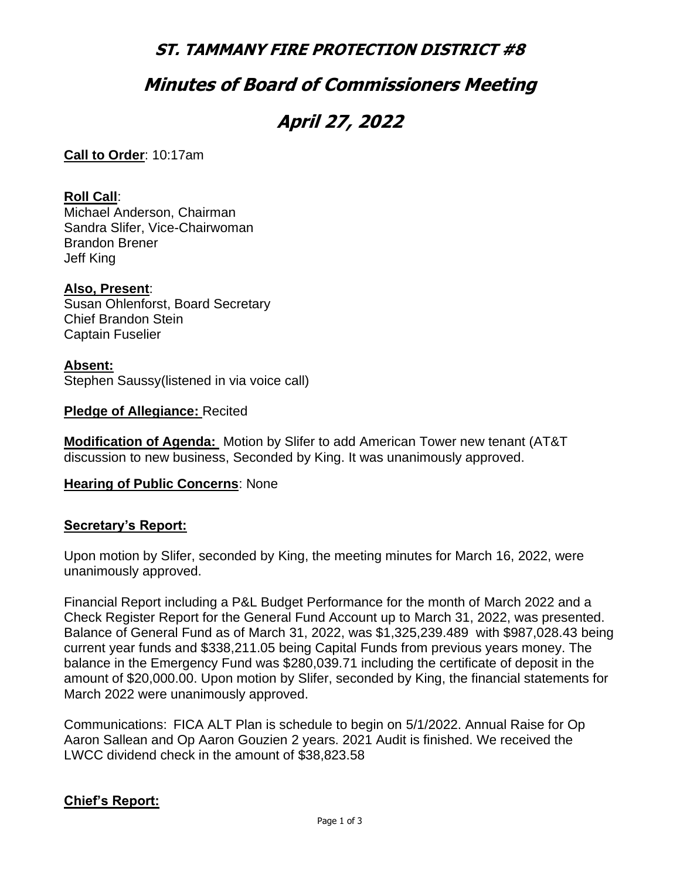### **ST. TAMMANY FIRE PROTECTION DISTRICT #8**

### **Minutes of Board of Commissioners Meeting**

# **April 27, 2022**

**Call to Order**: 10:17am

#### **Roll Call**:

Michael Anderson, Chairman Sandra Slifer, Vice-Chairwoman Brandon Brener Jeff King

#### **Also, Present**:

Susan Ohlenforst, Board Secretary Chief Brandon Stein Captain Fuselier

#### **Absent:**

Stephen Saussy(listened in via voice call)

**Pledge of Allegiance:** Recited

**Modification of Agenda:** Motion by Slifer to add American Tower new tenant (AT&T discussion to new business, Seconded by King. It was unanimously approved.

#### **Hearing of Public Concerns**: None

#### **Secretary's Report:**

Upon motion by Slifer, seconded by King, the meeting minutes for March 16, 2022, were unanimously approved.

Financial Report including a P&L Budget Performance for the month of March 2022 and a Check Register Report for the General Fund Account up to March 31, 2022, was presented. Balance of General Fund as of March 31, 2022, was \$1,325,239.489 with \$987,028.43 being current year funds and \$338,211.05 being Capital Funds from previous years money. The balance in the Emergency Fund was \$280,039.71 including the certificate of deposit in the amount of \$20,000.00. Upon motion by Slifer, seconded by King, the financial statements for March 2022 were unanimously approved.

Communications: FICA ALT Plan is schedule to begin on 5/1/2022. Annual Raise for Op Aaron Sallean and Op Aaron Gouzien 2 years. 2021 Audit is finished. We received the LWCC dividend check in the amount of \$38,823.58

#### **Chief's Report:**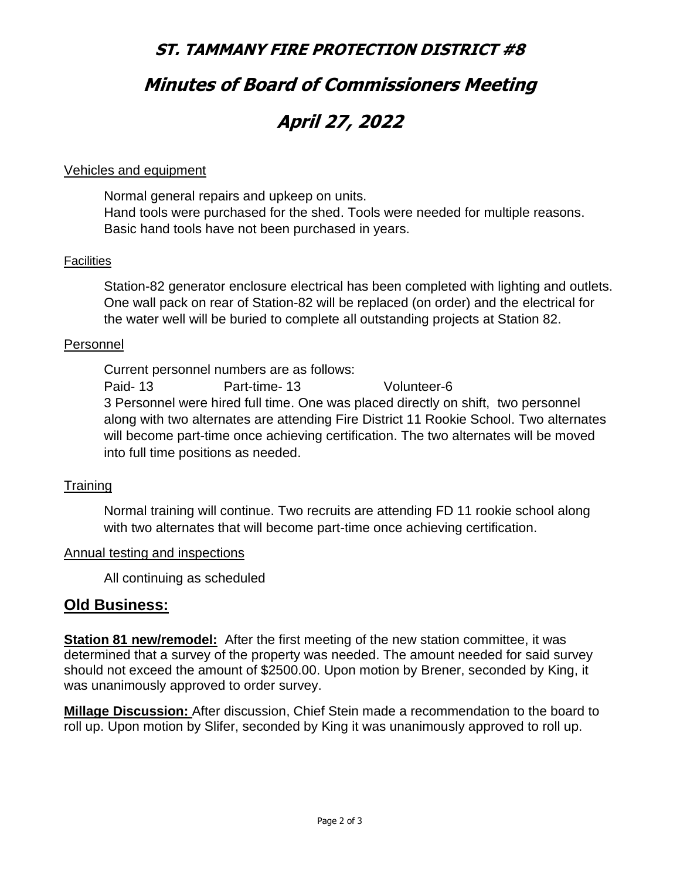# **ST. TAMMANY FIRE PROTECTION DISTRICT #8 Minutes of Board of Commissioners Meeting April 27, 2022**

#### Vehicles and equipment

Normal general repairs and upkeep on units. Hand tools were purchased for the shed. Tools were needed for multiple reasons. Basic hand tools have not been purchased in years.

#### **Facilities**

Station-82 generator enclosure electrical has been completed with lighting and outlets. One wall pack on rear of Station-82 will be replaced (on order) and the electrical for the water well will be buried to complete all outstanding projects at Station 82.

#### Personnel

Current personnel numbers are as follows: Paid- 13 Part-time- 13 Volunteer-6 3 Personnel were hired full time. One was placed directly on shift, two personnel along with two alternates are attending Fire District 11 Rookie School. Two alternates will become part-time once achieving certification. The two alternates will be moved into full time positions as needed.

#### **Training**

 Normal training will continue. Two recruits are attending FD 11 rookie school along with two alternates that will become part-time once achieving certification.

#### Annual testing and inspections

All continuing as scheduled

#### **Old Business:**

**Station 81 new/remodel:** After the first meeting of the new station committee, it was determined that a survey of the property was needed. The amount needed for said survey should not exceed the amount of \$2500.00. Upon motion by Brener, seconded by King, it was unanimously approved to order survey.

**Millage Discussion:** After discussion, Chief Stein made a recommendation to the board to roll up. Upon motion by Slifer, seconded by King it was unanimously approved to roll up.